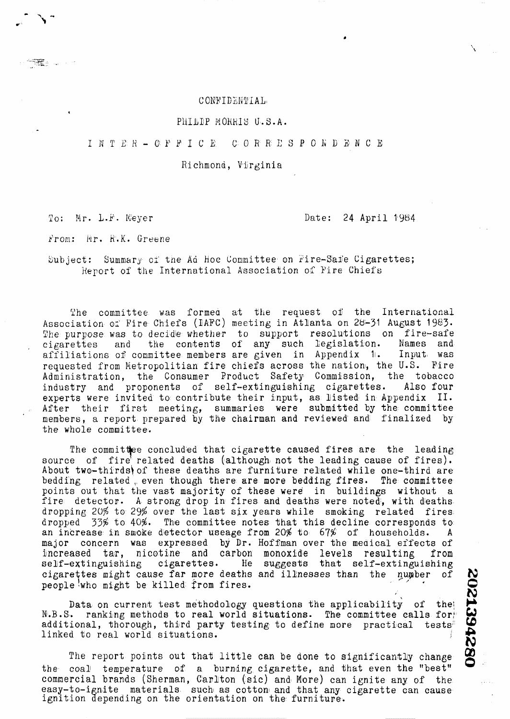# CONFIDENTIAL

# PHILIP MORRIS U.S.A.

#### INTER-OPFICE  $C: O: R: R: E: S: P: O: R: D: E: M: C: E$

Richmond, Virginia

To: Mr. L.F. Meyer

# Date: 24 April 1984

From: Mr. R.K. Greene

Subject: Summary of the Ad Hoc Committee on Fire-Safe Cigarettes; Report of the International Association of Fire Chiefs

The committee was formed at the request of the International Association of Fire Chiefs (IAFC) meeting in Atlanta on 28-31 August 1983. The purpose was to decide whether to support resolutions on fire-safe cigarettes and the contents of any such legislation. Names and affiliations of committee members are given in Appendix 1. Input was requested from Metropolitian fire chiefs across the nation, the U.S. Fire Administration, the Consumer Product Safety Commission, the tobacco industry and proponents of self-extinguishing cigarettes. Also four experts were invited to contribute their input, as listed in Appendix II.<br>After their first meeting, summaries were submitted by the committee members, a report prepared by the chairman and reviewed and finalized by the whole committee.

The committee concluded that cigarette caused fires are the leading source of fire related deaths (although not the leading cause of fires). About two-thirds) of these deaths are furniture related while one-third are bedding related even though there are more bedding fires. The committee points out that the vast majority of these were in buildings without a fire detector. A strong drop in fires and deaths were noted, with deaths dropping 20% to 29% over the last six years while smoking related fires dropped  $-33\%$  to  $40\%$ . The committee notes that this decline corresponds to an increase in smoke detector useage from 20% to 67% of households.  $\mathbf{A}$ major concern was expressed by Dr. Hoffman over the medical effects of increased tar, nicotine and carbon monoxide levels resulting from self-extinguishing cigarettes. He suggests that self-extinguishing cigarettes might cause far more deaths and illnesses than the number of people who might be killed from fires.

Data on current test methodology questions the applicability of the N.B.S. ranking methods to real world situations. The committee calls for additional, thorough, third party testing to define more practical tests" linked to real world situations.

The report points out that little can be done to significantly change the coal temperature of a burning cigarette, and that even the "best" commercial brands (Sherman, Carlton (sic) and More) can ignite any of the easy-to-ignite materials such as cotton and that any cigarette can cause ignition depending on the orientation on the furniture.

2021394280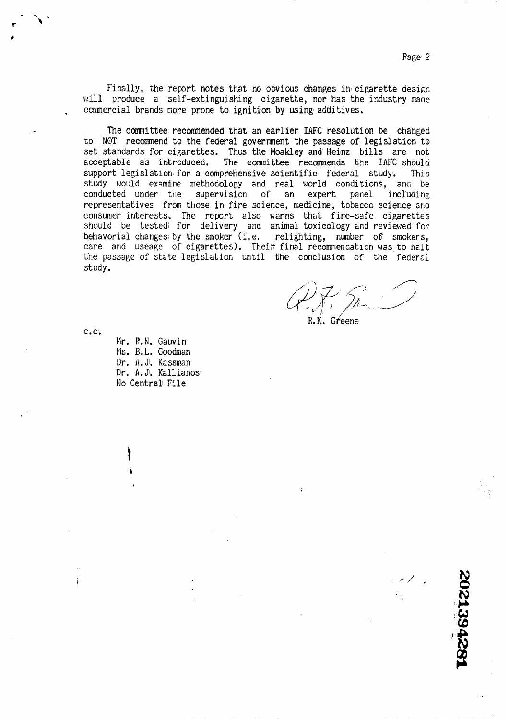L824281205

Finally, the report notes that no obvious changes in cigarette design. will produce a self-extinguishing cigarette, nor has the industry made commercial brands more prone to ignition by using additives.

The committee recommended that an earlier IAFC resolution be changed to NOT recomnend to the federal government the passage of legislation to set standards for cigarettes. Thus the Moakley and Heinz bills are not scceptable as introduced. The comnittee recomnends the **IAFC** shoulu support legislation for a comprehensive scientific federal study. This study would examine methodology and real world conditions, and be conducted under the supervision of an expert panel including representatives from those in fire science, medicine, tobacco science and consumer interests. The report also warns that fire-safe cigarettes should be tested for delivery and animal-toxicology and reviewed for behavorial changes by the smoker (i.e. relighting, number of smokers, care and useage of cigarettes). Their final recornendation was to halt the passage of state legislation until the conclusion of the federal study .

 $27.5$ 

**R.K.** ~r/eene

C.C.

 $\mathbf{i}$ 

Mr. P.N. Gauvin bls, B, L. Goodman Dr. A. Jl. Kassnan Dr. **A.** Jl. Kallianos No Central File